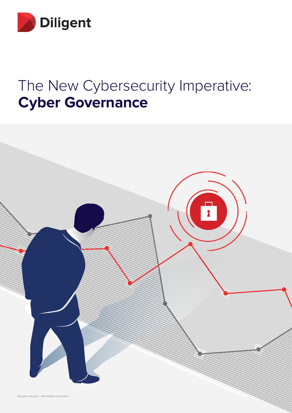

# The New Cybersecurity Imperative: **Cyber Governance**

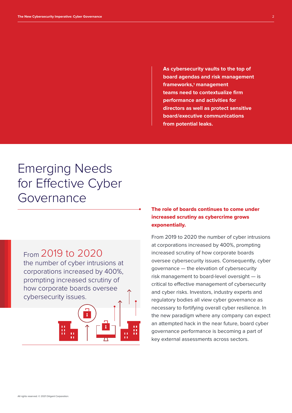**As cybersecurity vaults to the top of board agendas and risk management frameworks,1 management teams need to contextualize firm performance and activities for directors as well as protect sensitive board/executive communications from potential leaks.** 

### Emerging Needs for Effective Cyber Governance



#### The role of boards continues to come under increased scrutiny as cybercrime grows exponentially.

From 2019 to 2020 the number of cyber intrusions at corporations increased by 400%, prompting increased scrutiny of how corporate boards oversee cybersecurity issues. Consequently, cyber governance — the elevation of cybersecurity risk management to board-level oversight — is critical to effective management of cybersecurity and cyber risks. Investors, industry experts and regulatory bodies all view cyber governance as necessary to fortifying overall cyber resilience. In the new paradigm where any company can expect an attempted hack in the near future, board cyber governance performance is becoming a part of key external assessments across sectors.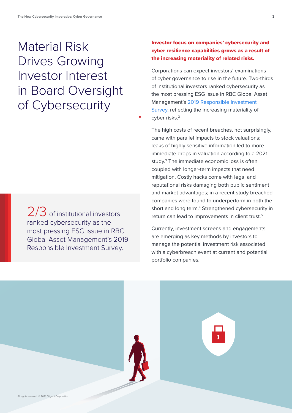## Material Risk Drives Growing Investor Interest in Board Oversight of Cybersecurity

ranked cybersecurity as the most pressing ESG issue in RBC Global Asset Management's 2019 Responsible Investment Survey. 2/3 of institutional investors

#### Investor focus on companies' cybersecurity and cyber resilience capabilities grows as a result of the increasing materiality of related risks.

Corporations can expect investors' examinations of cyber governance to rise in the future. Two-thirds of institutional investors ranked cybersecurity as the most pressing ESG issue in RBC Global Asset Management's 2019 Responsible Investment Survey, reflecting the increasing materiality of cyber risks.<sup>2</sup>

The high costs of recent breaches, not surprisingly, came with parallel impacts to stock valuations; leaks of highly sensitive information led to more immediate drops in valuation according to a 2021 study.3 The immediate economic loss is often coupled with longer-term impacts that need mitigation. Costly hacks come with legal and reputational risks damaging both public sentiment and market advantages; in a recent study breached companies were found to underperform in both the short and long term.<sup>4</sup> Strengthened cybersecurity in return can lead to improvements in client trust.<sup>5</sup>

Currently, investment screens and engagements are emerging as key methods by investors to manage the potential investment risk associated with a cyberbreach event at current and potential portfolio companies.

All rights reserved. © 2021 Diligent Corporatio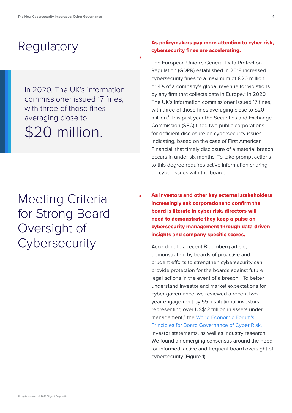### **Regulatory**

In 2020, The UK's information commissioner issued 17 fines, with three of those fines averaging close to \$20 million.

Meeting Criteria for Strong Board Oversight of **Cybersecurity** 

#### As policymakers pay more attention to cyber risk, cybersecurity fines are accelerating.

The European Union's General Data Protection Regulation (GDPR) established in 2018 increased cybersecurity fines to a maximum of €20 million or 4% of a company's global revenue for violations by any firm that collects data in Europe.<sup>6</sup> In 2020, The UK's information commissioner issued 17 fines, with three of those fines averaging close to \$20 million.7 This past year the Securities and Exchange Commission (SEC) fined two public corporations for deficient disclosure on cybersecurity issues indicating, based on the case of First American Financial, that timely disclosure of a material breach occurs in under six months. To take prompt actions to this degree requires active information-sharing on cyber issues with the board.

As investors and other key external stakeholders increasingly ask corporations to confirm the board is literate in cyber risk, directors will need to demonstrate they keep a pulse on cybersecurity management through data-driven insights and company-specific scores.

According to a recent Bloomberg article, demonstration by boards of proactive and prudent efforts to strengthen cybersecurity can provide protection for the boards against future legal actions in the event of a breach.<sup>8</sup> To better understand investor and market expectations for cyber governance, we reviewed a recent twoyear engagement by 55 institutional investors representing over US\$12 trillion in assets under management,<sup>9</sup> the World Economic Forum's Principles for Board Governance of Cyber Risk, investor statements, as well as industry research. We found an emerging consensus around the need for informed, active and frequent board oversight of cybersecurity (Figure 1).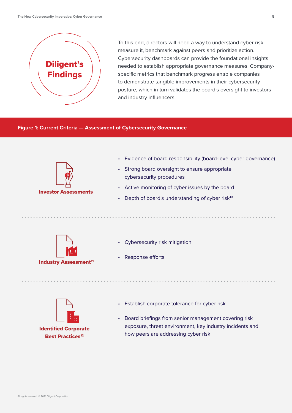

To this end, directors will need a way to understand cyber risk, measure it, benchmark against peers and prioritize action. Cybersecurity dashboards can provide the foundational insights needed to establish appropriate governance measures. Companyspecific metrics that benchmark progress enable companies to demonstrate tangible improvements in their cybersecurity posture, which in turn validates the board's oversight to investors and industry influencers.

#### **Figure 1: Current Criteria — Assessment of Cybersecurity Governance**



Investor Assessments

- Evidence of board responsibility (board-level cyber governance)
- Strong board oversight to ensure appropriate cybersecurity procedures
- Active monitoring of cyber issues by the board
- Depth of board's understanding of cyber risk $10$



- Cybersecurity risk mitigation
- Response efforts



- Establish corporate tolerance for cyber risk
- Board briefings from senior management covering risk exposure, threat environment, key industry incidents and how peers are addressing cyber risk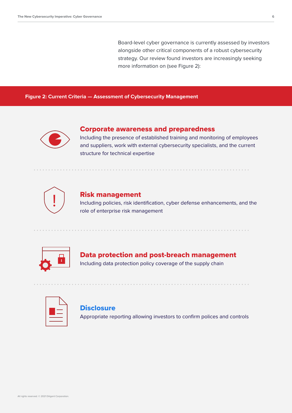Board-level cyber governance is currently assessed by investors alongside other critical components of a robust cybersecurity strategy. Our review found investors are increasingly seeking more information on (see Figure 2):

**Figure 2: Current Criteria — Assessment of Cybersecurity Management**



#### Corporate awareness and preparedness

Including the presence of established training and monitoring of employees and suppliers, work with external cybersecurity specialists, and the current structure for technical expertise



#### Risk management

Including policies, risk identification, cyber defense enhancements, and the role of enterprise risk management



### Data protection and post-breach management

Including data protection policy coverage of the supply chain



#### **Disclosure**

Appropriate reporting allowing investors to confirm polices and controls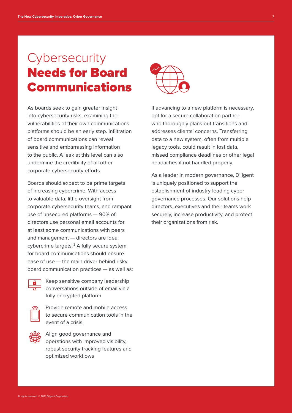### **Cybersecurity** Needs for Board Communications

As boards seek to gain greater insight into cybersecurity risks, examining the vulnerabilities of their own communications platforms should be an early step. Infiltration of board communications can reveal sensitive and embarrassing information to the public. A leak at this level can also undermine the credibility of all other corporate cybersecurity efforts.

Boards should expect to be prime targets of increasing cybercrime. With access to valuable data, little oversight from corporate cybersecurity teams, and rampant use of unsecured platforms — 90% of directors use personal email accounts for at least some communications with peers and management — directors are ideal cybercrime targets.<sup>13</sup> A fully secure system for board communications should ensure ease of use — the main driver behind risky board communication practices — as well as:



Keep sensitive company leadership conversations outside of email via a fully encrypted platform



Provide remote and mobile access to secure communication tools in the event of a crisis



Align good governance and operations with improved visibility, robust security tracking features and optimized workflows



If advancing to a new platform is necessary, opt for a secure collaboration partner who thoroughly plans out transitions and addresses clients' concerns. Transferring data to a new system, often from multiple legacy tools, could result in lost data, missed compliance deadlines or other legal headaches if not handled properly.

As a leader in modern governance, Diligent is uniquely positioned to support the establishment of industry-leading cyber governance processes. Our solutions help directors, executives and their teams work securely, increase productivity, and protect their organizations from risk.